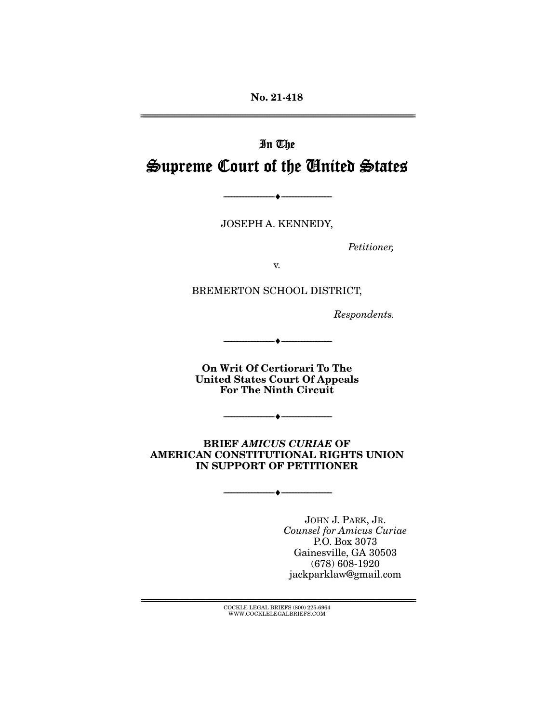**No. 21-418** 

# In The Supreme Court of the United States

JOSEPH A. KENNEDY,

--------------------------------- ♦ ---------------------------------

Petitioner,

BREMERTON SCHOOL DISTRICT,

Respondents.

**On Writ Of Certiorari To The United States Court Of Appeals For The Ninth Circuit** 

--------------------------------- ♦ ---------------------------------

 $\overbrace{\hspace{27mm}}$   $\overbrace{\hspace{27mm}}$ 

**BRIEF** *AMICUS CURIAE* **OF AMERICAN CONSTITUTIONAL RIGHTS UNION IN SUPPORT OF PETITIONER** 

--------------------------------- ♦ ---------------------------------

Counsel for Amicus Curiae P.O. Box 3073<br>Gainesville, GA 30503  $(678) 608 - 1920$ (<sup>crey cre</sup> =====<br>parklaw@gmail jackparklaw@gmail.com

 $\text{COCKLE LEGAL BRIEFS}$  (800) 225-6964 WWW.COCKLELEGALBRIEFS.COM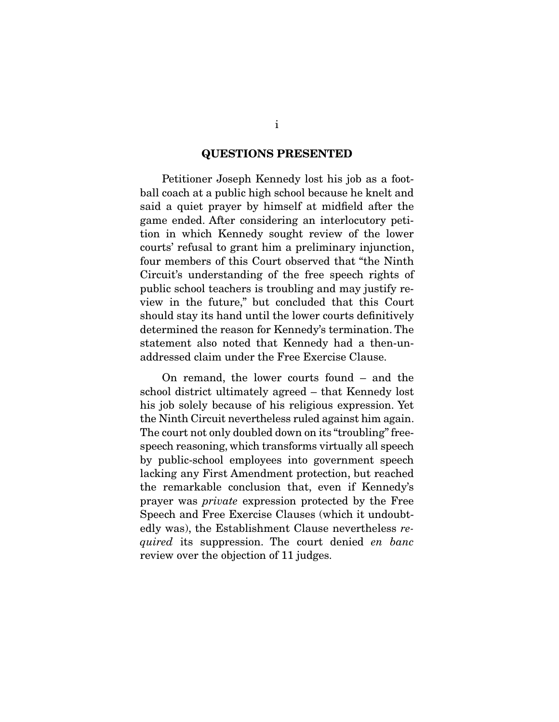#### **QUESTIONS PRESENTED**

 Petitioner Joseph Kennedy lost his job as a footsaid a quiet prayer by himself at midfield after the game ended. After considering an interlocutory petition in which Kennedy sought review of the lower courts' refusal to grant him a preliminary injunction. four members of this Court observed that "the Ninth" Circuit's understanding of the free speech rights of public school teachers is troubling and may justify review in the future," but concluded that this Court should stay its hand until the lower courts definitively determined the reason for Kennedy's termination. The statement also noted that Kennedy had a then-unaddressed claim under the Free Exercise Clause. addressed claim under the Free Exercise Clause.

On remand, the lower courts found  $-$  and the school district ultimately agreed  $-$  that Kennedy lost his job solely because of his religious expression. Yet the Ninth Circuit nevertheless ruled against him again. The court not only doubled down on its "troubling" freespeech reasoning, which transforms virtually all speech by public-school employees into government speech lacking any First Amendment protection, but reached the remarkable conclusion that, even if Kennedy's prayer was *private* expression protected by the Free<br>Speech and Free Exercise Clauses (which it undoubt edly was), the Establishment Clause nevertheless required its suppression. The court denied en banc review over the objection of 11 judges.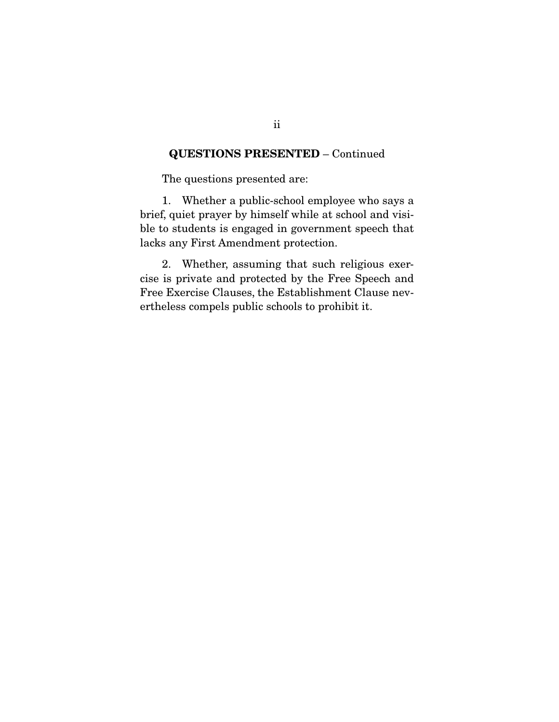## **QUESTIONS PRESENTED** – Continued

The questions presented are:

1. Whether a public-school employee who says a brief, quiet prayer by himself while at school and visible to students is engaged in government speech that ble to students is engaged in government speech that lacks any First Amendment protection.

2. Whether, assuming that such religious exer-<br>cise is private and protected by the Free Speech and Free Exercise Clauses, the Establishment Clause nev- $F_{\text{e}}$  extends  $F_{\text{e}}$  and  $F_{\text{e}}$  and  $F_{\text{e}}$  are  $F_{\text{e}}$  in  $F_{\text{e}}$  in  $F_{\text{e}}$  is the  $F_{\text{e}}$  of  $F_{\text{e}}$  and  $F_{\text{e}}$  is the  $F_{\text{e}}$  of  $F_{\text{e}}$  and  $F_{\text{e}}$  are  $F_{\text{e}}$  and  $F_{\text{e}}$  are  $F_{\text$ ertheless compels public schools to prohibit it.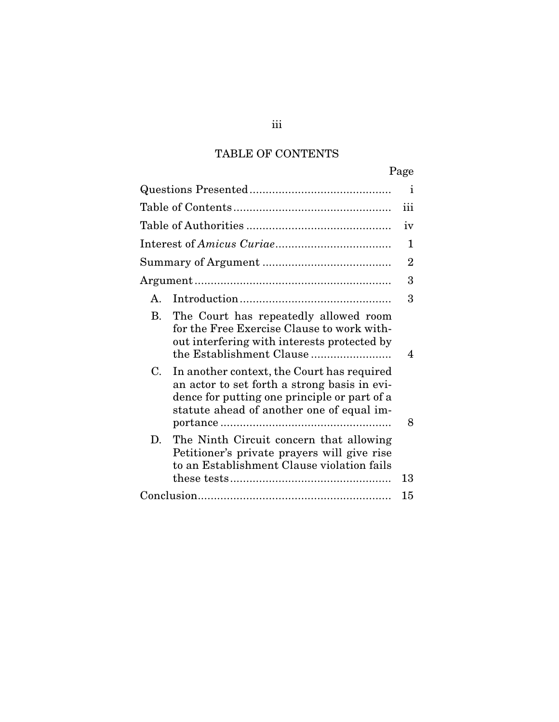## TABLE OF CONTENTS

|                |                                                                                                                                                                                         | Page           |
|----------------|-----------------------------------------------------------------------------------------------------------------------------------------------------------------------------------------|----------------|
|                |                                                                                                                                                                                         | $\mathbf{I}$   |
|                |                                                                                                                                                                                         |                |
|                |                                                                                                                                                                                         | iv             |
|                |                                                                                                                                                                                         | 1              |
|                |                                                                                                                                                                                         | $\overline{2}$ |
|                |                                                                                                                                                                                         | 3              |
| $\mathsf{A}$ . |                                                                                                                                                                                         | 3              |
| <b>B.</b>      | The Court has repeatedly allowed room<br>for the Free Exercise Clause to work with-<br>out interfering with interests protected by                                                      | 4              |
| C.             | In another context, the Court has required<br>an actor to set forth a strong basis in evi-<br>dence for putting one principle or part of a<br>statute ahead of another one of equal im- | 8              |
| D.             | The Ninth Circuit concern that allowing<br>Petitioner's private prayers will give rise<br>to an Establishment Clause violation fails                                                    | 13             |
|                |                                                                                                                                                                                         | 15             |
|                |                                                                                                                                                                                         |                |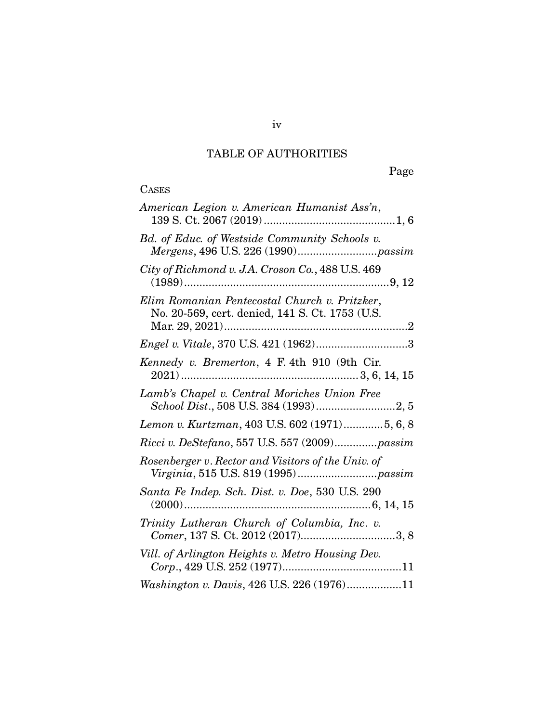## TABLE OF AUTHORITIES

# **CASES**

| American Legion v. American Humanist Ass'n,                                                      |
|--------------------------------------------------------------------------------------------------|
| Bd. of Educ. of Westside Community Schools v.                                                    |
| City of Richmond v. J.A. Croson Co., 488 U.S. 469                                                |
| Elim Romanian Pentecostal Church v. Pritzker,<br>No. 20-569, cert. denied, 141 S. Ct. 1753 (U.S. |
|                                                                                                  |
| Kennedy v. Bremerton, 4 F. 4th 910 (9th Cir.                                                     |
| Lamb's Chapel v. Central Moriches Union Free                                                     |
| Lemon v. Kurtzman, 403 U.S. 602 (1971)5, 6, 8                                                    |
| Ricci v. DeStefano, 557 U.S. 557 (2009)passim                                                    |
| Rosenberger v. Rector and Visitors of the Univ. of                                               |
| Santa Fe Indep. Sch. Dist. v. Doe, 530 U.S. 290                                                  |
| Trinity Lutheran Church of Columbia, Inc. v.<br>Comer, 137 S. Ct. 2012 (2017)3, 8                |
| Vill. of Arlington Heights v. Metro Housing Dev.                                                 |
| Washington v. Davis, 426 U.S. 226 (1976)11                                                       |
|                                                                                                  |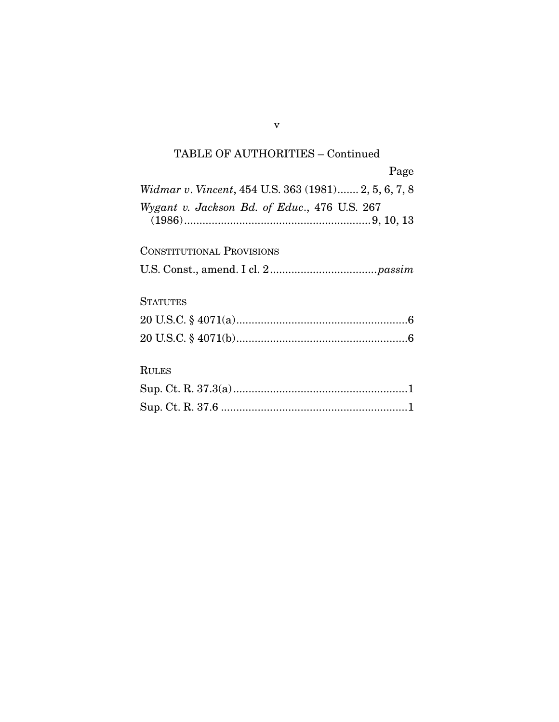## TABLE OF AUTHORITIES – Continued

|                                                      | Page |
|------------------------------------------------------|------|
| Widmar v. Vincent, 454 U.S. 363 (1981) 2, 5, 6, 7, 8 |      |
| Wygant v. Jackson Bd. of Educ., 476 U.S. 267         |      |

CONSTITUTIONAL PROVISIONS U.S. Const., amend. I cl. 2 ................................... passim

## **STATUTES**

## RULES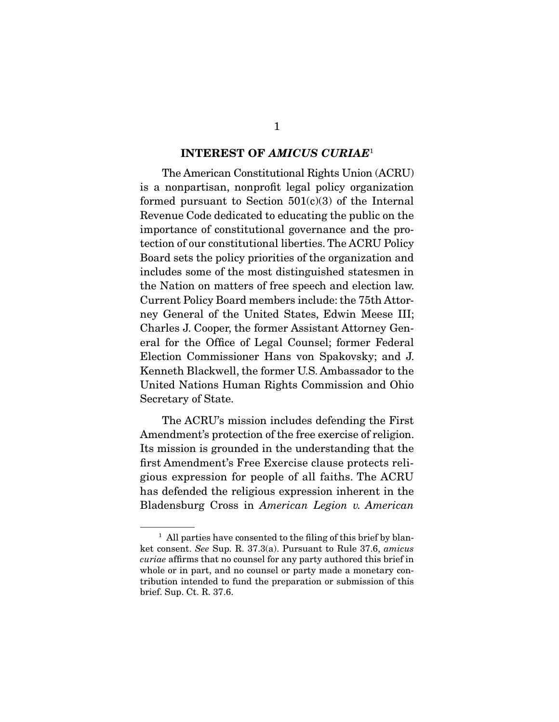#### **INTEREST OF** *AMICUS CURIAE*1

The American Constitutional Rights Union (ACRU)<br>is a nonpartisan, nonprofit legal policy organization formed pursuant to Section  $501(c)(3)$  of the Internal Revenue Code dedicated to educating the public on the importance of constitutional governance and the protection of our constitutional liberties. The ACRU Policy Board sets the policy priorities of the organization and includes some of the most distinguished states one in the Nation on matters of free speech and election law. Current Policy Board members include: the 75th Attorney General of the United States, Edwin Meese III; Charles J. Cooper, the former Assistant Attorney General for the Office of Legal Counsel; former Federal Election Commissioner Hans von Spakovsky; and J. Kenneth Blackwell, the former U.S. Ambassador to the United Nations Human Rights Commission and Ohio United Nations Human Rights Commission and Ohio Secretary of State.

The ACRU's mission includes defending the First<br>Amendment's protection of the free exercise of religion. Its mission is grounded in the understanding that the first Amendment's Free Exercise clause protects religious expression for people of all faiths. The ACRU has defended the religious expression inherent in the has defended the religious expression inherent in the Bladensburg Cross in American Legion v. American

All parties have consented to the filing of this brief by blan-<br>ket consent. See Sup. R. 37.3(a). Pursuant to Rule 37.6, amicus<br>curies affirms that no counsel for any party authored this brief in curiae affirms that no counsel for any party authored this brief in whole or in part, and no counsel or party made a monetary contribution intended to fund the preparation or submission of this brief. Sup. Ct. R.  $37.6$ .  $\mathbf{E}$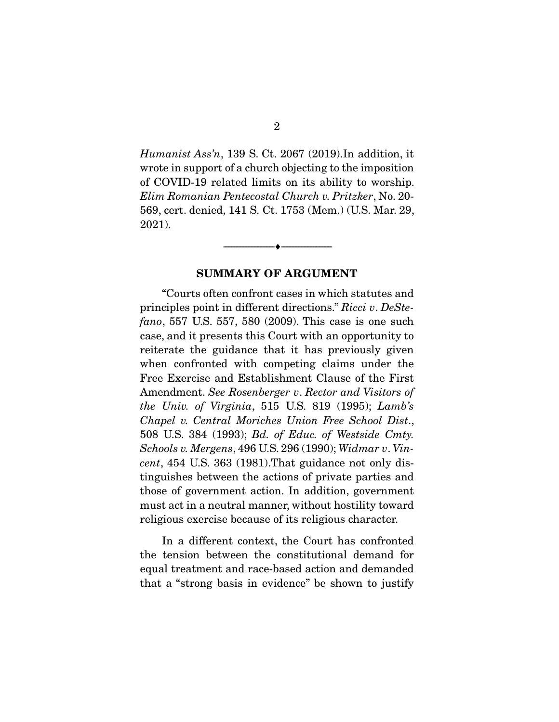*Humanist Ass'n*, 139 S. Ct. 2067 (2019). In addition, it wrote in support of a church objecting to the imposition of COVID-19 related limits on its ability to worship. Elim Romanian Pentecostal Church v. Pritzker, No. 20-<br>569. cert. depied 141 S. Ct. 1753 (Mem.) (US. Mer. 29 569, cert. denied, 141 S. Ct. 1753 (Mem.) (U.S. Mar. 29, 2021).

#### **SUMMARY OF ARGUMENT**

 $\overbrace{\hspace{2.5cm}}$   $\overbrace{\hspace{2.5cm}}$ 

 $\frac{1}{2}$  principles point in different directions." Ricci v. DeSte-<br> $\frac{1}{2}$   $\frac{1}{2}$   $\frac{1}{2}$   $\frac{1}{2}$   $\frac{1}{2}$   $\frac{1}{2}$   $\frac{1}{2}$   $\frac{1}{2}$   $\frac{1}{2}$   $\frac{1}{2}$   $\frac{1}{2}$   $\frac{1}{2}$   $\frac{1}{2}$   $\frac{1}{2}$   $\frac{1}{2}$   $\$ fano, 557 U.S. 557, 580 (2009). This case is one such case, and it presents this Court with an opportunity to reiterate the guidance that it has previously given when confronted with competing claims under the Free Exercise and Establishment Clause of the First  $F_{\text{F}}$  and Exercise and Establishment Clause of the First Amendment. See Rosenberger v. Rector and Visitors of the Hiri the Univ. of Virginia, 515 U.S. 819 (1995); Lamb's Chapel v. Central Moriches Union Free School Dist., 508 U.S. 384 (1993); Bd. of Educ. of Westside Cmty. Schools v. Mergens, 496 U.S. 296 (1990); Widmar v. Vincent, 454 U.S. 363 (1981). That guidance not only distinguishes between the actions of private parties and those of government action. In addition, government must act in a neutral manner, without hostility toward must act in a neutral manner, without modernly towards religious exercise because of its religious character.

 In a different context, the Court has confronted equal treatment and race-based action and demanded that a "strong basis in evidence" be shown to justify  $t_{\text{max}}$  and  $t_{\text{max}}$  because in events for shown to  $j_{\text{max}}$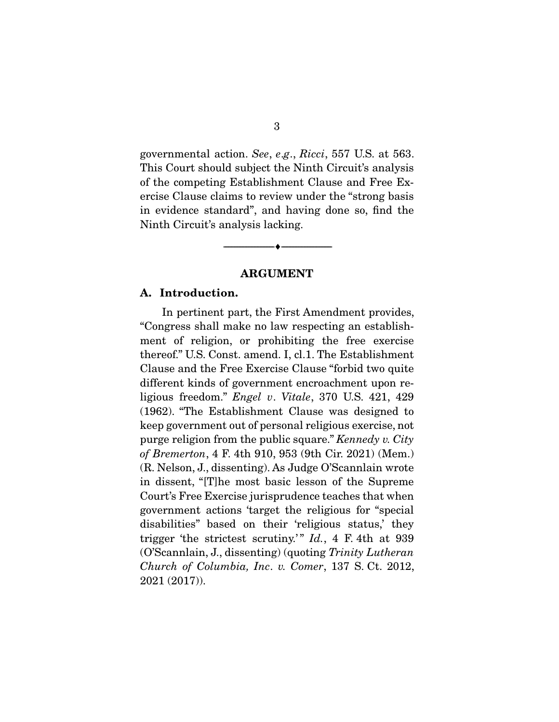governmental action. See, e.g., Ricci, 557 U.S. at 563.<br>This Court should subject the Ninth Circuit's analysis of the competing Establishment Clause and Free Exercise Clause claims to review under the "strong basis" in evidence standard", and having done so, find the Ninth Circuit's analysis docking Ninth Circuit's analysis lacking.

#### **ARGUMENT**

 $\overbrace{\hspace{2.5cm}}$   $\overbrace{\hspace{2.5cm}}$ 

#### **A. Introduction.**

In pertinent part, the First Amendment provides, "Congress shall make no law respecting an establishment of religion, or prohibiting the free exercise thereof." U.S. Const. amend. I, cl.1. The Establishment Clause and the Free Exercise Clause "forbid two quite different kinds of government encroachment upon religious freedom." Engel v. Vitale, 370 U.S. 421, 429 (1962). "The Establishment Clause was designed to keep government out of personal religious exercise, not purge religion from the public square." Kennedy v. City<br>of Premerton 4 F 4th 910, 953 (9th Cir. 2021) (Mom.) of Bremerton, 4 F. 4th 910, 953 (9th Cir. 2021) (Mem.)<br>(R. Nelson, J., dissenting). As Judge O'Scannlain wrote in dissent, "[T]he most basic lesson of the Supreme Court's Free Exercise jurisprudence teaches that when government actions 'target the religious for "special disabilities" based on their 'religious status,' they trigger 'the strictest scrutiny.'"  $Id.$ , 4 F. 4th at 939 (O'Scannlain, J., dissenting) (quoting Trinity Lutheran Church of Columbia, Inc. v. Comer, 137 S. Ct. 2012, 2021 (2017)).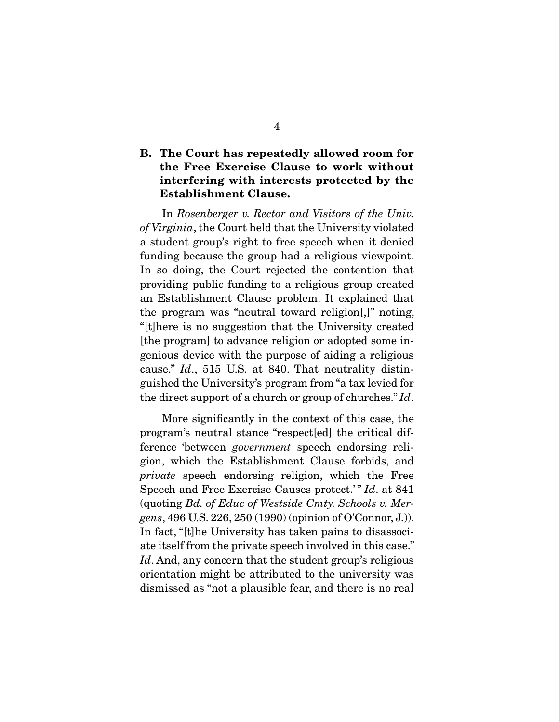## **B. The Court has repeatedly allowed room for the Free Exercise Clause to work without interfering with interests protected by the Establishment Clause.**

 In Rosenberger v. Rector and Visitors of the Univ. of Virginia, the Court held that the University violated<br>a student group's right to free speech when it denied funding because the group had a religious viewpoint. In so doing, the Court rejected the contention that providing public funding to a religious group created an Establishment Clause problem. It explained that the program was "neutral toward religion.]" noting, "It the program was the University created [the program] to advance religion or adopted some ingenious device with the purpose of aiding a religious genious device with the purpose of aiding  $\alpha$  religious cause." Id., 515 U.S. at 840. That neutrality distinthe direct support of a church or group of churches."  $Id$ .

More significantly in the context of this case, the program's neutral stance "respect[ed] the critical difference 'between *government* speech endorsing reli-<br>gion, which the Establishment Clause ferbids, and private speech endorsing religion, which the Free<br>Speech and Free Exercise Causes protect," Id. at 841 Speech and Free Exercise Causes protect.'" Id. at 841 (quoting Bd. of Educ of Westside Cmty. Schools v. Mergens, 496 U.S. 226, 250 (1990) (opinion of O'Connor, J.)). ate itself from the private speech involved in this case."  $Id$ . And, any concern that the student group's religious orientation might be attributed to the university west. orientation might be attributed to the university was dismissed as "not a plausible fear, and there is no real dismissed as "not a plausible fear, and there is no real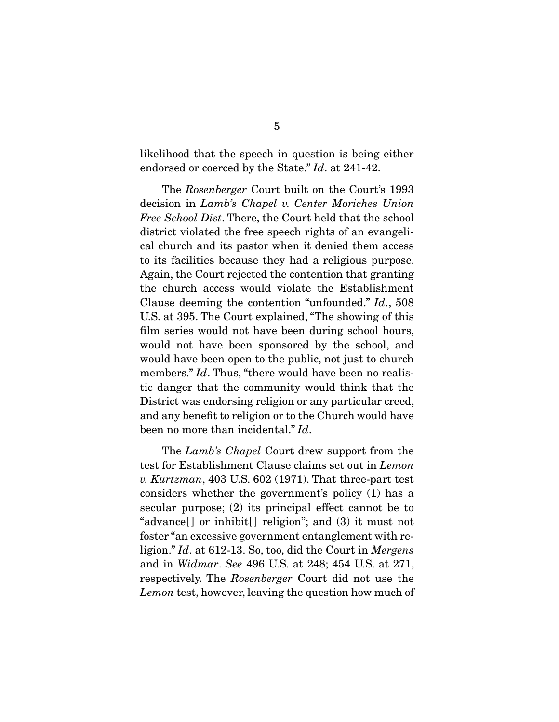endorsed or coerced by the State."  $Id$ . at 241-42.

 The Rosenberger Court built on the Court's 1993 decision in Lamb's Chapel v. Center Moriches Union Free School Dist. There, the Court held that the school district violated the free speech rights of an evangelical church and its pastor when it denied them access to its facilities because they had a religious purpose. Again, the Court rejected the contention that granting. the church access would violate the Establishment Clause deeming the contention "unfounded."  $Id$ ., 508 U.S. at 395. The Court explained, "The showing of this film series would not have been during school hours, would not have been sponsored by the school, and would have been open to the public, not just to church members."  $Id$ . Thus, "there would have been no realis-<br>tie depace that the community would think that the tic danger that the community would think that the District was endorsing religion or any particular creed, and any benefit to religion or to the Church would have been no more than incidental."  $Id$ .

 The Lamb's Chapel Court drew support from the test for Establishment Clause claims set out in Lemon v. Kurtzman, 403 U.S. 602 (1971). That three-part test considers whether the government's policy (1) has a secular purpose;  $(2)$  its principal effect cannot be to "advance[] or inhibit[] religion"; and  $(3)$  it must not foster "an excessive government entanglement with religion." Id. at 612-13. So, too, did the Court in Mergens<br>and in Widmar, See 496 U.S. at 248: 454 U.S. at 271 and in Widmar. See 496 U.S. at 248; 454 U.S. at 271, respectively. The Rosenberger Court did not use the Lemon test, however, leaving the question how much of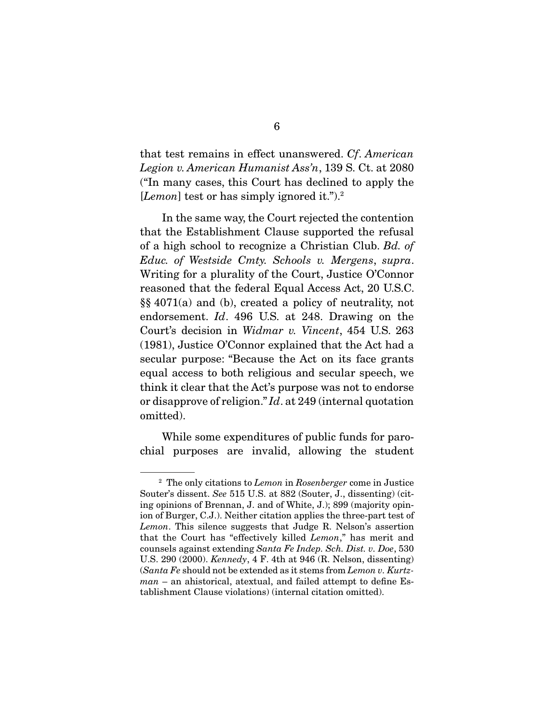that test remains in effect unanswered. Cf. American Legion v. American Humanist Ass'n, 139 S. Ct. at 2080<br>("In many cases, this Court has declined to apply the  $[Lemma of theorem 1.11]$  cases, the Court has declined to apply  $[Lemma of Theorem 2.11]$ 

In the same way, the Court rejected the contention<br>that the Establishment Clause supported the refusal of a high school to recognize a Christian Club. Bd. of  $F_{\text{uluc. of}}$  Westaide Curty, Schoole v. Mergene, supported Educ. of Westside Cmty. Schools v. Mergens, supra.<br>Writing for a plurality of the Court, Justice O'Connor reasoned that the federal Equal Access Act, 20 U.S.C.  $\S\S 4071(a)$  and (b), created a policy of neutrality, not  $\frac{1}{2}$  and  $\frac{1}{2}$  and  $\frac{1}{2}$ , created a policy of neutrality, not endorsement. Id. 496 U.S. at 248. Drawing on the Court's decision in Widmar, v. Vincent, 454 U.S. 263. Court's decision in *Widmar v. Vincent*, 454 U.S. 263 (1981), Justice O'Connor explained that the Act had a secular purpose: "Because the Act on its face grants equal access to both religious and secular speech, we think it clear that the Act's purpose was not to endorse or disapprove of religion."  $Id$  at 249 (internal quotation omitted) omitted).

 $\frac{1}{2}$  is the some public function  $\frac{1}{2}$  fund for  $\frac{1}{2}$  fund for  $\frac{1}{2}$ chal purposes are invariant  $\beta$ 

 $2$  The only citations to Lemon in Rosenberger come in Justice Souter's dissent. See 515 U.S. at 882 (Souter, J., dissenting) (citing opinions of Brennan, J. and of White, J.); 899 (majority opinion of Burger, C.J.). Neither citation applies the three-part test of Lemon. This silence suggests that Judge R. Nelson's assertion<br>that the Court has "effectively killed Lemon" has merit and that the Court has "effectively killed Lemon," has merit and counsels against extending Santa Fe Indep. Sch. Dist. v. Doe, 530 U.S. 290 (2000). Kennedy, 4 F. 4th at 946 (R. Nelson, dissenting) (Santa Fe should not be extended as it stems from Lemon v. Kurtz $man$  – an ahistorical, atextual, and failed attempt to define Establishment Clause violations) (internal citation omitted). tablishment Clause violations) (internal citation omitted).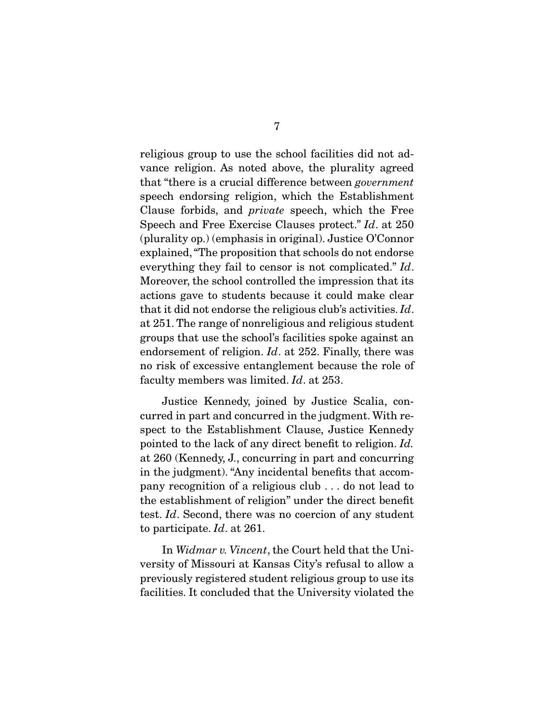religious group to use the school facilities did not advance religion. As noted above, the plurality agreed that "there is a crucial difference between *government* Clause forbids, and *private* speech, which the Free<br>Speech and Free Exergise Clauses protect,"  $Id$  at 250 Speech and Free Exercise Clauses protect."  $Id$ . at 250 (plurality op.) (emphasis in original). Justice O'Connor explained, "The proposition that schools do not endorse everything they fail to censor is not complicated."  $Id$ .<br>Moreover the school controlled the impression that its Moreover, the school controlled the impression that its actions gave to students because it could make clear that it did not endorse the religious club's activities.  $Id$ . at 251. The range of nonreligious and religious student endorsement of religion.  $Id$  at 252. Finally, there was faculty members was limited.  $Id$ . at 253.

 Justice Kennedy, joined by Justice Scalia, conspect to the Establishment Clause, Justice Kennedy  $\frac{1}{2}$  pointed to the lack of any direct benefit to religion. Id. at 260 (Kennedy, J., concurring in part and concurring pany recognition of a religious club... do not lead to the establishment of religion" under the direct benefit test. Id. Second, there was no coercion of any student to participate. Id. at 261.

In Widmar v. Vincent, the Court held that the University of Missouri at Kansas City's refusal to allow a previously registered student religious group to use its facilities. It concluded that the University violated the facilities. It concluded that the University violated the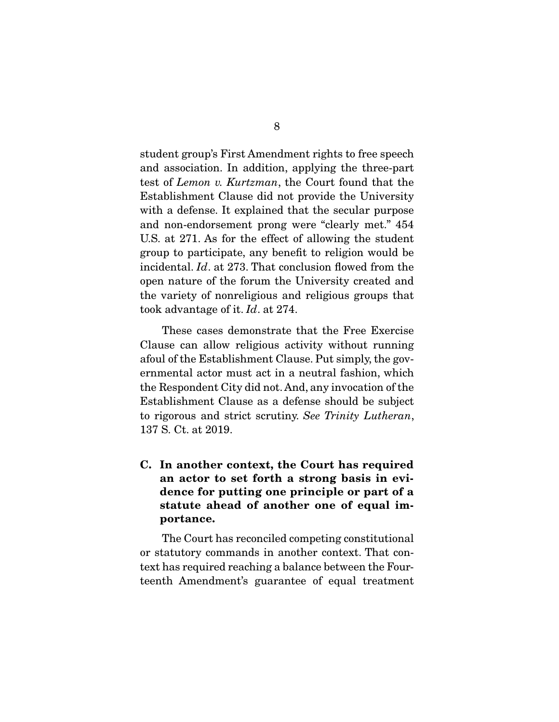student group's First Amendment rights to free speech<br>and association. In addition, applying the three-part test of Lemon v. Kurtzman, the Court found that the  $F$ <sub>stablishment</sub> Clause did not previde the University Establishment Clause did not provide the University and non-endorsement prong were "clearly met."  $454$ U.S. at 271. As for the effect of allowing the student group to participate, any benefit to religion would be incidental.  $Id$ . at 273. That conclusion flowed from the approximation would be  $\frac{1}{2}$ open nature of the forum the University created and<br>the variety of nonreligious and religious groups that took advantage of it.  $Id$ . at 274.

These cases demonstrate that the Free Exercise<br>Clause can allow religious activity without running afoul of the Establishment Clause. Put simply, the governmental actor must act in a neutral fashion, which the Respondent City did not. And, any invocation of the Establishment Clause as a defense should be subject. to rigorous and strict scrutiny. See Trinity Lutheran,  $137 S$  Ct at  $2010$ 137 S. C. at 2019.

**C. In another context, the Court has required an actor to set forth a strong basis in evidence for putting one principle or part of a statute ahead of another one of equal importance.** 

The Court has reconciled competing constitutional<br>or statutory commands in another context. That context has required reaching a balance between the Four $t_{\text{cont}}$   $\Lambda$  mondmant's guarantee of equal treatment teenth Amendment's guarantee of equal treatment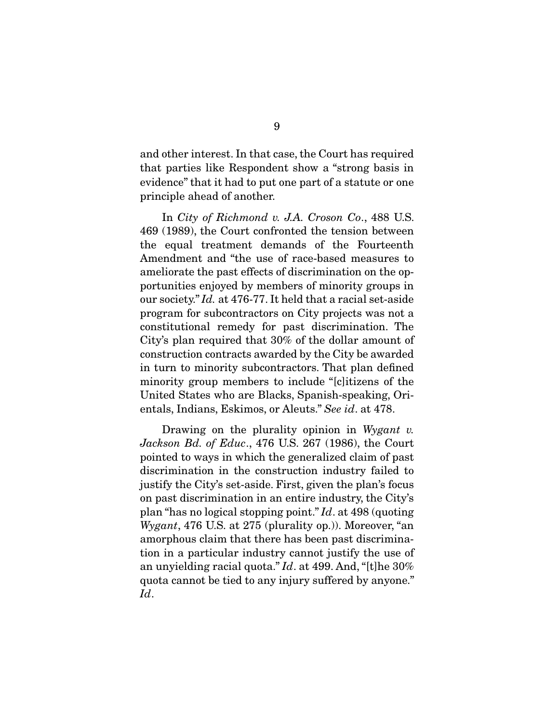and other interest. In that case, the Court has required that parties like Respondent show a "strong basis in evidence" that it had to put one part of a statute or one principle ahead of a nother.  $\mathbf{p}$  and a matrix and a set and a set and a set and a set and a set  $\mathbf{p}$ 

In City of Richmond v. J.A. Croson Co., 488 U.S. 469 (1989), the Court confronted the tension between the equal treatment demands of the Fourteenth Amendment and "the use of race-based measures to ameliorate the past effects of discrimination on the opportunities enjoyed by members of minority groups in our society."  $Id$ . at 476-77. It held that a racial set-aside<br>program for subcontractors on City projects was not a program for subcontractors on City projects was not a City's plan required that 30% of the dollar amount of construction contracts awarded by the City be awarded in turn to minority subcontractors. That plan defined minority group members to include "solitizens of the United States who are Blacks, Spanish-speaking, Orientals, Indians, Eskimos, or Aleuts." See id. at 478.

Drawing on the plurality opinion in Wygant  $v$ . Jackson Bd. of Educ., 476 U.S. 267 (1986), the Court pointed to ways in which the generalized claim of past discrimination in the construction industry failed to justify the City's set-aside. First, given the plan's focus on past discrimination in an entire industry, the City's plan "has no logical stopping point." Id. at  $498$  (quoting Wygant  $476$  US at  $275$  (plurality op)). Moreover "an Wygant, 476 U.S. at 275 (plurality op.)). Moreover, "an amorphous claim that there has been past discrimination in a particular industry cannot justify the use of an unyielding racial quota."  $Id$ . at 499. And, "[t]he 30% quota cannot be tied to any injury suffered by anyone." Id.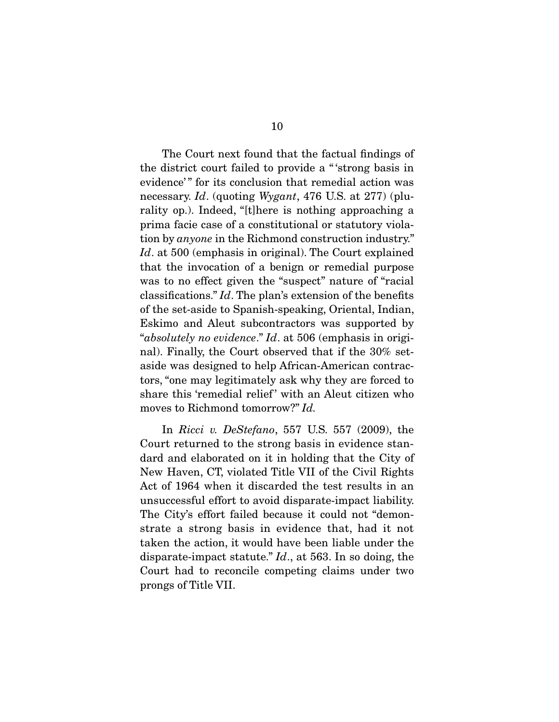The Court next found that the factual findings of the district court failed to provide a "strong basis in evidence'" for its conclusion that remedial action was  $\frac{1}{2}$  is considered that remediate that remediate  $\frac{1}{2}$  action is negligible. rality op.). Indeed, "[t]here is nothing approaching a prima facie case of a constitutional or statutory violation by *anyone* in the Richmond construction industry."<br>
Let at 500 (omphasis in original). The Court explained Id. at 500 (emphasis in original). The Court explained that the invocation of a benign or remedial purpose was to no effect given the "suspect" nature of "racial classifications."  $Id$ . The plan's extension of the benefits of the set eside to Spanish speeking. Oriental Indian of the set-aside to Spanish-speaking, Oriental, Indian, "absolutely no evidence." Id. at 506 (emphasis in origi-<br>nol). Finally, the Court absorved that if the  $30\%$  set nal). Finally, the Court observed that if the 30% set-<br>aside was designed to help African-American contractors, "one may legitimately ask why they are forced to share this 'remedial relief' with an Aleut citizen who moves to Richmond tomorrow?" Id.

In *Ricci v. DeStefano*, 557 U.S. 557 (2009), the Court returned to the strong basis in evidence standard and elaborated on it in holding that the City of New Haven, CT, violated Title VII of the Civil Rights Act of 1964 when it discarded the test results in an unsuccessful effort to avoid disparate-impact liability. The City's effort failed because it could not "demonstrate a strong basis in evidence that, had it not taken the action, it would have been liable under the disparate-impact statute."  $Id.$ , at 563. In so doing, the Court had to reconcile competing claims under two  $\frac{1}{2}$  conce of Title VII  $\mathbf{p}$  is  $\mathbf{p}$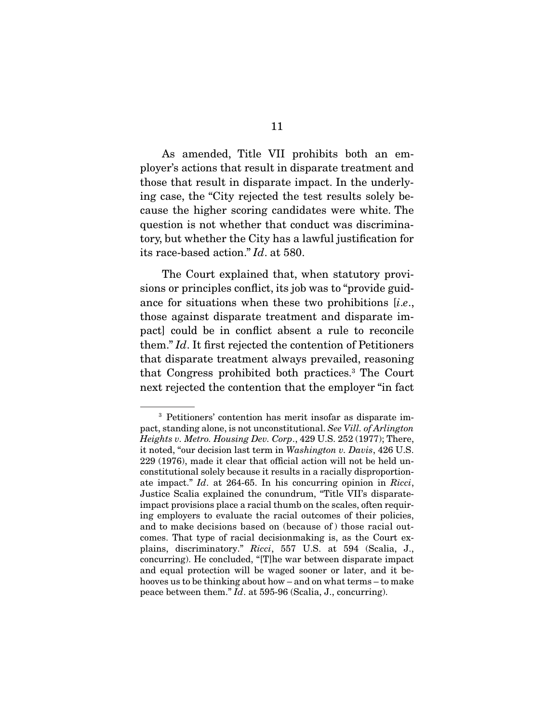As amended, Title VII prohibits both an employer's actions that result in disparate treatment and those that result in disparate impact. In the underlying case, the "City rejected the test results solely because the higher scoring candidates were white. The question is not whether that conduct was discriminatory, but whether the City has a lawful justification for its race-based action."  $Id$ . at 580.

The Court explained that, when statutory provisions or principles conflict, its job was to "provide guidance for situations when these two prohibitions  $[i.e.,$ those against disparate treatment and disparate im- $[$  chem." Id. It first rejected the contention of Petitioners<br>that dispare to tractment always provailed reasoning that disparate treatment always prevailed, reasoning<br>that Congress prohibited both practices.<sup>3</sup> The Court that Congress promoted both practices. The Court<br>novt rejected the contention that the employer "in fact next rejected the contention that the employer "in fact

Fetitioners' contention has merit insofar as disparate im-<br>pact, standing alone, is not unconstitutional. See Vill. of Arlington<br>Heights v. Metro, Housing Dev. Corn. 499 U.S. 959 (1977): There Heights v. Metro. Housing Dev. Corp., 429 U.S. 252 (1977); There, it noted, "our decision last term in Washington v. Davis, 426 U.S.<br>229 (1976), made it clear that official action will not be held unconstitutional solely because it results in a racially disproportionate impact." Id. at 264-65. In his concurring opinion in Ricci,<br>Justice Scalia explained the conundrum "Title VII's disparate-Justice Scalia explained the conundrum, "Title VII's disparateing employers to evaluate the racial outcomes of their policies, and to make decisions based on (because of) those racial outcomes. That type of racial decision making is, as the Court explains, discriminatory."  $Ricci$ , 557 U.S. at 594 (Scalia, J., concurring). He concluded "[Tlbe war between disparate impact concurring). He concluded, "[T]he war between disparate impact and equal protection will be waged sooner or later, and it behooves us to be thinking about how  $-$  and on what terms  $-$  to make peace between them."  $Id$ . at 595-96 (Scalia, J., concurring).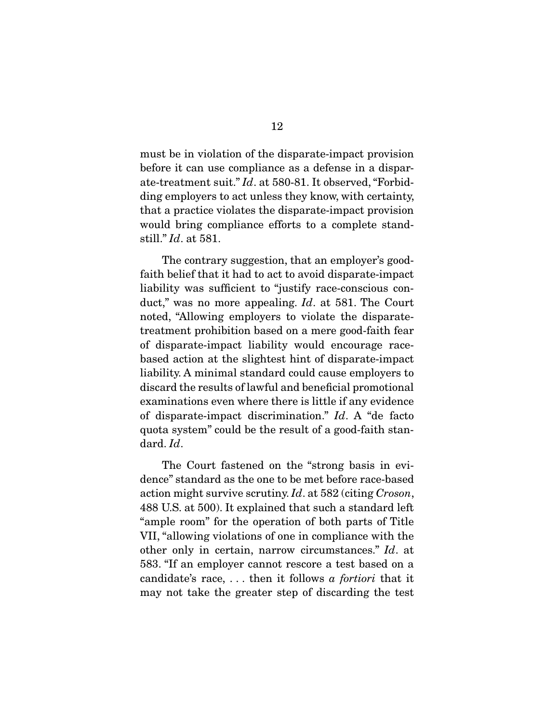must be in violation of the disparate-impact provision<br>before it can use compliance as a defense in a disparate-treatment suit."  $Id$ . at 580-81. It observed, "Forbidding employers to act unless they know, with certainty, that a practice violates the disparate-impact provision would bring compliance efforts to a complete standwould being complete the at  $\alpha$  to complete stand-<br>still." Id. at 581.

The contrary suggestion, that an employer's good-<br>faith belief that it had to act to avoid disparate-impact liability was sufficient to "justify race-conscious conduct," was no more appealing.  $Id$ . at 581. The Court noted, "Allowing employers to violate the disparate-<br>treatment prohibition based on a mere good-faith fear of disparate-impact liability would encourage racebased action at the slightest hint of disparate-impact liability. A minimal standard could cause employers to discard the results of lawful and beneficial promotional examinations even where there is little if any evidence of disparate-impact discrimination."  $Id$ . A "de facto quota system" could be the result of a good-faith standard. Id.

The Court fastened on the "strong basis in evi-<br>dence" standard as the one to be met before race-based action might survive scrutiny. Id. at 582 (citing Croson,  $\frac{188}{15}$  at 500). It evaluated that such a standard left 488 U.S. at 500). It explained that such a standard left "ample room" for the operation of both parts of Title VII, "allowing violations of one in compliance with the other only in certain, narrow circumstances." Id. at  $583$  "If an employer cannot researce a test based on a candidate's race, ... then it follows a *fortiori* that it may not take the greater step of discarding the test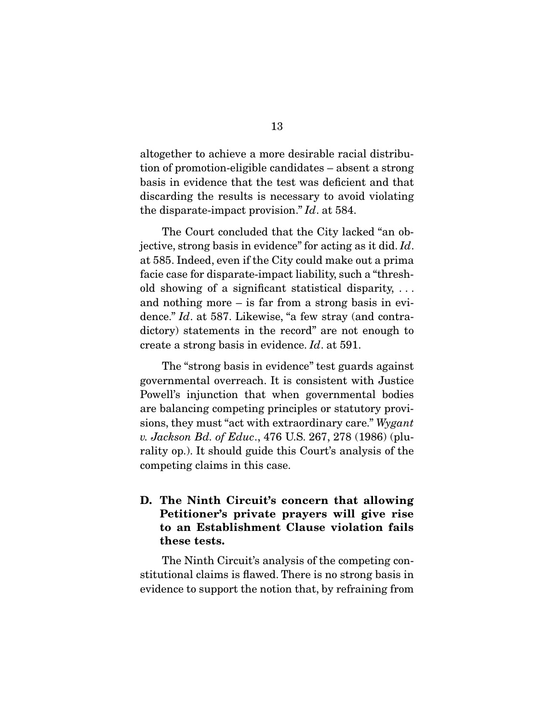altogether to achieve a more desirable racial distribubasis in evidence that the test was deficient and that discarding the results is necessary to avoid violating the disparate-impact provision."  $Id$  at 584.

jective, strong basis in evidence" for acting as it did.  $Id$ . at 585. Indeed, even if the City could make out a prima old showing of a significant statistical disparity,  $\dots$ and nothing more  $-$  is far from a strong basis in evidence."  $Id$ . at 587. Likewise, "a few stray (and contra-<br>dictory) statements in the record" are not enough to create a strong basis in evidence.  $Id$ . at 591.

The "strong basis in evidence" test guards against governmental overreach. It is consistent with Justice Powell's injunction that when governmental bodies are balancing competing principles or statutory provisions, they must "act with extraordinary care." Wygant v. Jackson Bd. of Educ., 476 U.S. 267, 278 (1986) (plu-<br>rality op.). It should guide this Court's analysis of the  $r_{\rm s}$  is the court of the court of the this court  $r_{\rm s}$  and the this court competing claims in this case.

## **D. The Ninth Circuit's concern that allowing Petitioner's private prayers will give rise to an Establishment Clause violation fails these tests.**

The Ninth Circuit's analysis of the competing constitutional claims is flawed. There is no strong basis in evidence to support the notion that, by refraining from evidence to support the notion that, by refraining from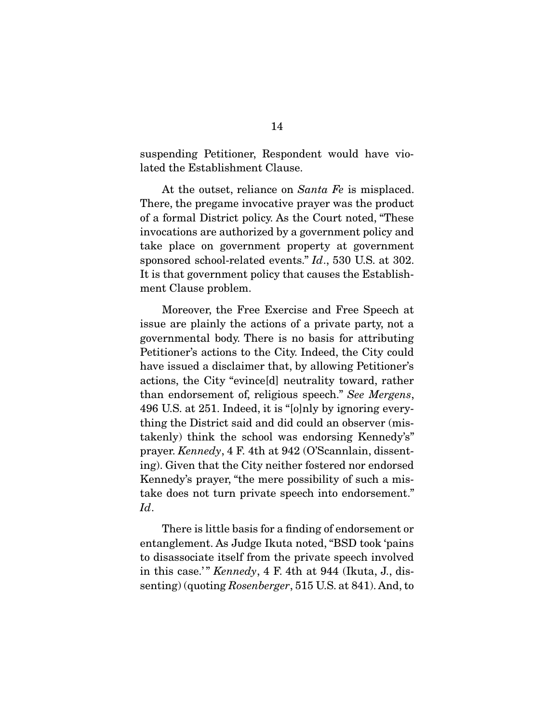suspending Petitioner, Respondent would have vio-<br>lated the Establishment Clause. lated the Establishment Clause.

At the outset, reliance on *Santa Fe* is misplaced.<br>There, the pregame invocative prayer was the product of a formal District policy. As the Court noted, "These invocations are authorized by a government policy and take place on government property at government sponsored school-related events."  $Id$ ., 530 U.S. at 302. It is that government policy that causes the Establishment Clause problem.

Moreover, the Free Exercise and Free Speech at issue are plainly the actions of a private party, not a governmental body. There is no basis for attributing Petitioner's actions to the City. Indeed, the City could have issued a disclaimer that, by allowing Petitioner's actions, the City "evince[d] neutrality toward, rather than endorsement of, religious speech." See Mergens,  $\frac{1}{4}$  and  $\frac{1}{5}$  at  $\frac{951}{12}$  Indeed, it is "lelply by ignoring every 496 U.S. at 251. Indeed, it is "[o]nly by ignoring every-<br>thing the District said and did could an observer (mistakenly) think the school was endorsing Kennedy's" prayer. Kennedy,  $4$  F. 4th at 942 (O'Scannlain, dissent-<br>ing). Given that the City poither festered per endersed. ing). Given that the City neither fostered nor endorsed  $K_{\text{max}}$  and  $K_{\text{max}}$  problems  $\frac{1}{N}$  and  $\frac{1}{N}$  $t$ does not turn private speech into endorsement. The endorsement is endorsement. The endorsement of  $t$ Id.

There is little basis for a finding of endorsement or<br>entanglement. As Judge Ikuta noted, "BSD took 'pains to disassociate itself from the private speech involved in this case.'"  $Kennedy$ , 4 F. 4th at 944 (Ikuta, J., dis-<br>sonting) (quoting  $Bosenberger$ , 515 U.S. at 841). And to senting) (quoting Rosenberger, 515 U.S. at 841). And, to